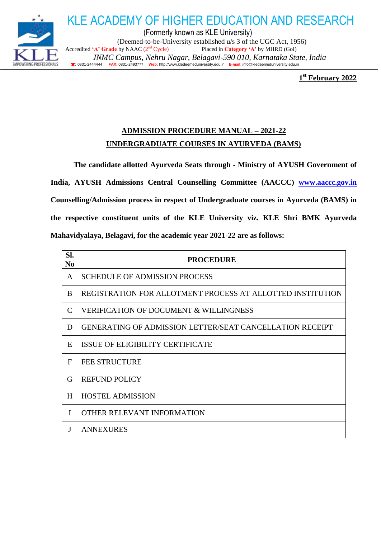

(Formerly known as KLE University) (Deemed-to-be-University established u/s 3 of the UGC Act, 1956) Accredited 'A' Grade by NAAC (2<sup>nd</sup> Cycle) Placed in Category 'A' by MHRD (GoI)  *JNMC Campus, Nehru Nagar, Belagavi-590 010, Karnataka State, India* **:** 0831-2444444 **FAX:** 0831-2493777 **Web:** http://www.kledeemeduniversity.edu.in **E-mail**: [info@kledeemeduniversity.edu.in](mailto:info@kledeemeduniversity.edu.in)

KLE ACADEMY OF HIGHER EDUCATION AND RESEARCH

**1 st February 2022**

## **ADMISSION PROCEDURE MANUAL – 2021-22 UNDERGRADUATE COURSES IN AYURVEDA (BAMS)**

**The candidate allotted Ayurveda Seats through - Ministry of AYUSH Government of India, AYUSH Admissions Central Counselling Committee (AACCC) [www.aaccc.gov.in](http://www.aaccc.gov.in/) Counselling/Admission process in respect of Undergraduate courses in Ayurveda (BAMS) in the respective constituent units of the KLE University viz. KLE Shri BMK Ayurveda Mahavidyalaya, Belagavi, for the academic year 2021-22 are as follows:**

| SI.<br>N <sub>0</sub> | <b>PROCEDURE</b>                                                |  |  |
|-----------------------|-----------------------------------------------------------------|--|--|
| A                     | <b>SCHEDULE OF ADMISSION PROCESS</b>                            |  |  |
| B                     | REGISTRATION FOR ALLOTMENT PROCESS AT ALLOTTED INSTITUTION      |  |  |
| C                     | <b>VERIFICATION OF DOCUMENT &amp; WILLINGNESS</b>               |  |  |
| D                     | <b>GENERATING OF ADMISSION LETTER/SEAT CANCELLATION RECEIPT</b> |  |  |
| E                     | ISSUE OF ELIGIBILITY CERTIFICATE                                |  |  |
| F                     | <b>FEE STRUCTURE</b>                                            |  |  |
| G                     | <b>REFUND POLICY</b>                                            |  |  |
| H                     | <b>HOSTEL ADMISSION</b>                                         |  |  |
| I                     | OTHER RELEVANT INFORMATION                                      |  |  |
| J                     | <b>ANNEXURES</b>                                                |  |  |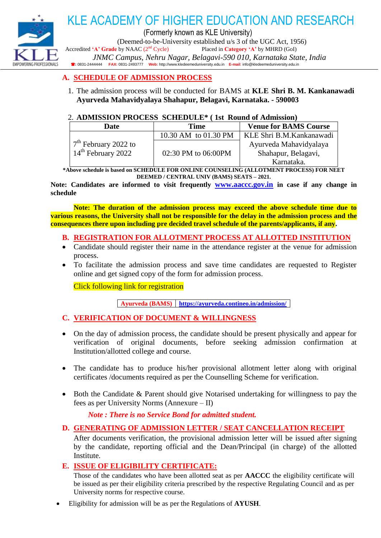

# KLE ACADEMY OF HIGHER EDUCATION AND RESEARCH

(Formerly known as KLE University)

(Deemed-to-be-University established u/s 3 of the UGC Act, 1956)

Accredited 'A' Grade by NAAC (2<sup>nd</sup> Cycle) Placed in Category 'A' by MHRD (GoI)

 *JNMC Campus, Nehru Nagar, Belagavi-590 010, Karnataka State, India* **:** 0831-2444444 **FAX:** 0831-2493777 **Web:** http://www.kledeemeduniversity.edu.in **E-mail**: [info@kledeemeduniversity.edu.in](mailto:info@kledeemeduniversity.edu.in)

### **A. SCHEDULE OF ADMISSION PROCESS**

1. The admission process will be conducted for BAMS at **KLE Shri B. M. Kankanawadi Ayurveda Mahavidyalaya Shahapur, Belagavi, Karnataka. - 590003**

### 2. **ADMISSION PROCESS SCHEDULE\* ( 1st Round of Admission)**

| <b>Date</b>                    | Time                 | <b>Venue for BAMS Course</b> |
|--------------------------------|----------------------|------------------------------|
|                                | 10.30 AM to 01.30 PM | KLE Shri B.M.Kankanawadi     |
| $7th$ February 2022 to         | 02:30 PM to 06:00PM  | Ayurveda Mahavidyalaya       |
| 14 <sup>th</sup> February 2022 |                      | Shahapur, Belagavi,          |
|                                |                      | Karnataka.                   |

**\*Above schedule is based on SCHEDULE FOR ONLINE COUNSELING (ALLOTMENT PROCESS) FOR NEET DEEMED / CENTRAL UNIV (BAMS) SEATS – 2021.**

**Note: Candidates are informed to visit frequently [www.aaccc.gov.in](http://www.aaccc.gov.in/) in case if any change in schedule**

**Note: The duration of the admission process may exceed the above schedule time due to various reasons, the University shall not be responsible for the delay in the admission process and the consequences there upon including pre decided travel schedule of the parents/applicants, if any.**

- **B. REGISTRATION FOR ALLOTMENT PROCESS AT ALLOTTED INSTITUTION**
- Candidate should register their name in the attendance register at the venue for admission process.
- To facilitate the admission process and save time candidates are requested to Register online and get signed copy of the form for admission process.

Click following link for registration

**Ayurveda (BAMS) <https://ayurveda.contineo.in/admission/>**

### **C. VERIFICATION OF DOCUMENT & WILLINGNESS**

- On the day of admission process, the candidate should be present physically and appear for verification of original documents, before seeking admission confirmation at Institution/allotted college and course.
- The candidate has to produce his/her provisional allotment letter along with original certificates /documents required as per the Counselling Scheme for verification.
- Both the Candidate & Parent should give Notarised undertaking for willingness to pay the fees as per University Norms (Annexure – II)

*Note : There is no Service Bond for admitted student.*

### **D. GENERATING OF ADMISSION LETTER / SEAT CANCELLATION RECEIPT**

After documents verification, the provisional admission letter will be issued after signing by the candidate, reporting official and the Dean/Principal (in charge) of the allotted Institute.

### **E. ISSUE OF ELIGIBILITY CERTIFICATE:**

Those of the candidates who have been allotted seat as per **AACCC** the eligibility certificate will be issued as per their eligibility criteria prescribed by the respective Regulating Council and as per University norms for respective course.

Eligibility for admission will be as per the Regulations of **AYUSH**.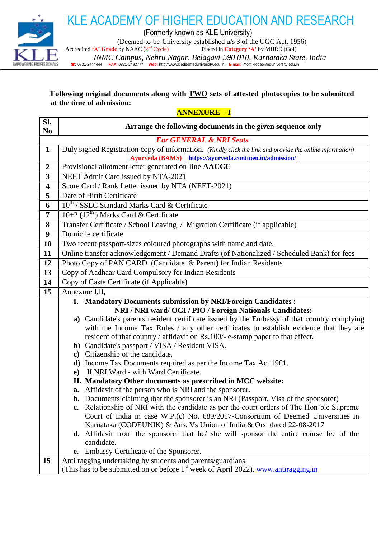

KLE ACADEMY OF HIGHER EDUCATION AND RESEARCH

(Formerly known as KLE University)

(Deemed-to-be-University established u/s 3 of the UGC Act, 1956)<br>by NAAC ( $2<sup>nd</sup>$  Cycle) Placed in **Category** 'A' by MHRD (GoI)

Accredited 'A' Grade by NAAC (2<sup>nd</sup> Cycle)

 *JNMC Campus, Nehru Nagar, Belagavi-590 010, Karnataka State, India* **:** 0831-2444444 **FAX:** 0831-2493777 **Web:** http://www.kledeemeduniversity.edu.in **E-mail**: [info@kledeemeduniversity.edu.in](mailto:info@kledeemeduniversity.edu.in)

### **Following original documents along with TWO sets of attested photocopies to be submitted at the time of admission:**

**ANNEXURE – I**

| SI.<br>N <sub>0</sub>   | Arrange the following documents in the given sequence only                                               |  |  |
|-------------------------|----------------------------------------------------------------------------------------------------------|--|--|
|                         | <b>For GENERAL &amp; NRI Seats</b>                                                                       |  |  |
| $\mathbf{1}$            | Duly signed Registration copy of information. (Kindly click the link and provide the online information) |  |  |
|                         | Ayurveda (BAMS) https://ayurveda.contineo.in/admission/                                                  |  |  |
| $\overline{2}$          | Provisional allotment letter generated on-line AACCC                                                     |  |  |
| 3                       | NEET Admit Card issued by NTA-2021                                                                       |  |  |
| $\overline{\mathbf{4}}$ | Score Card / Rank Letter issued by NTA (NEET-2021)                                                       |  |  |
| 5                       | Date of Birth Certificate                                                                                |  |  |
| 6                       | $10^{th}$ / SSLC Standard Marks Card & Certificate                                                       |  |  |
| 7                       | $10+2$ (12 <sup>th</sup> ) Marks Card & Certificate                                                      |  |  |
| 8                       | Transfer Certificate / School Leaving / Migration Certificate (if applicable)                            |  |  |
| 9                       | Domicile certificate                                                                                     |  |  |
| 10                      | Two recent passport-sizes coloured photographs with name and date.                                       |  |  |
| 11                      | Online transfer acknowledgement / Demand Drafts (of Nationalized / Scheduled Bank) for fees              |  |  |
| 12                      | Photo Copy of PAN CARD (Candidate & Parent) for Indian Residents                                         |  |  |
| 13                      | Copy of Aadhaar Card Compulsory for Indian Residents                                                     |  |  |
| 14                      | Copy of Caste Certificate (if Applicable)                                                                |  |  |
| 15                      | Annexure I,II,                                                                                           |  |  |
|                         | I. Mandatory Documents submission by NRI/Foreign Candidates :                                            |  |  |
|                         | NRI / NRI ward/ OCI / PIO / Foreign Nationals Candidates:                                                |  |  |
|                         | a) Candidate's parents resident certificate issued by the Embassy of that country complying              |  |  |
|                         | with the Income Tax Rules / any other certificates to establish evidence that they are                   |  |  |
|                         | resident of that country / affidavit on Rs.100/- e-stamp paper to that effect.                           |  |  |
|                         | b) Candidate's passport / VISA / Resident VISA.<br>c) Citizenship of the candidate.                      |  |  |
|                         | d) Income Tax Documents required as per the Income Tax Act 1961.                                         |  |  |
|                         | If NRI Ward - with Ward Certificate.<br>e)                                                               |  |  |
|                         | II. Mandatory Other documents as prescribed in MCC website:                                              |  |  |
|                         | Affidavit of the person who is NRI and the sponsorer.<br>a.                                              |  |  |
|                         | <b>b.</b> Documents claiming that the sponsorer is an NRI (Passport, Visa of the sponsorer)              |  |  |
|                         | c. Relationship of NRI with the candidate as per the court orders of The Hon'ble Supreme                 |  |  |
|                         | Court of India in case W.P.(c) No. 689/2017-Consortium of Deemed Universities in                         |  |  |
|                         | Karnataka (CODEUNIK) & Ans. Vs Union of India & Ors. dated 22-08-2017                                    |  |  |
|                         | <b>d.</b> Affidavit from the sponsorer that he/ she will sponsor the entire course fee of the            |  |  |
|                         | candidate.                                                                                               |  |  |
|                         | e. Embassy Certificate of the Sponsorer.                                                                 |  |  |
| 15                      | Anti ragging undertaking by students and parents/guardians.                                              |  |  |
|                         | (This has to be submitted on or before 1 <sup>st</sup> week of April 2022). www.antiragging.in           |  |  |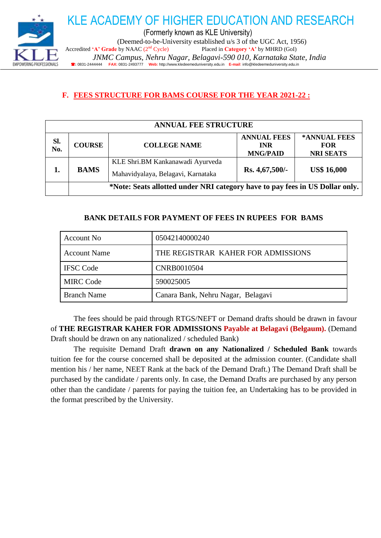

### **F. FEES STRUCTURE FOR BAMS COURSE FOR THE YEAR 2021-22 :**

| <b>ANNUAL FEE STRUCTURE</b> |               |                                                                              |                                                     |                                                |
|-----------------------------|---------------|------------------------------------------------------------------------------|-----------------------------------------------------|------------------------------------------------|
| Sl.<br>No.                  | <b>COURSE</b> | <b>COLLEGE NAME</b>                                                          | <b>ANNUAL FEES</b><br><b>INR</b><br><b>MNG/PAID</b> | *ANNUAL FEES<br><b>FOR</b><br><b>NRI SEATS</b> |
| 1.                          | <b>BAMS</b>   | KLE Shri.BM Kankanawadi Ayurveda<br>Mahavidyalaya, Belagavi, Karnataka       | Rs. 4,67,500/-                                      | <b>US\$ 16,000</b>                             |
|                             |               | *Note: Seats allotted under NRI category have to pay fees in US Dollar only. |                                                     |                                                |

### **BANK DETAILS FOR PAYMENT OF FEES IN RUPEES FOR BAMS**

| Account No.         | 05042140000240                     |
|---------------------|------------------------------------|
| <b>Account Name</b> | THE REGISTRAR KAHER FOR ADMISSIONS |
| <b>IFSC Code</b>    | <b>CNRB0010504</b>                 |
| <b>MIRC Code</b>    | 590025005                          |
| <b>Branch Name</b>  | Canara Bank, Nehru Nagar, Belagavi |

The fees should be paid through RTGS/NEFT or Demand drafts should be drawn in favour of **THE REGISTRAR KAHER FOR ADMISSIONS Payable at Belagavi (Belgaum).** (Demand Draft should be drawn on any nationalized / scheduled Bank)

The requisite Demand Draft **drawn on any Nationalized / Scheduled Bank** towards tuition fee for the course concerned shall be deposited at the admission counter. (Candidate shall mention his / her name, NEET Rank at the back of the Demand Draft.) The Demand Draft shall be purchased by the candidate / parents only. In case, the Demand Drafts are purchased by any person other than the candidate / parents for paying the tuition fee, an Undertaking has to be provided in the format prescribed by the University.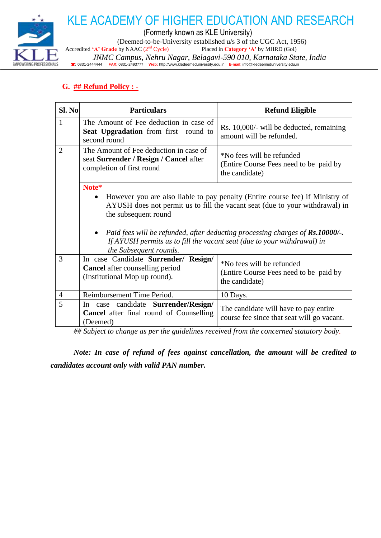

KLE ACADEMY OF HIGHER EDUCATION AND RESEARCH

(Formerly known as KLE University)

(Deemed-to-be-University established u/s 3 of the UGC Act, 1956)<br>by NAAC ( $2<sup>nd</sup>$  Cycle) Placed in **Category** 'A' by MHRD (GoI)

Accredited 'A' Grade by NAAC (2<sup>nd</sup> Cycle)

 *JNMC Campus, Nehru Nagar, Belagavi-590 010, Karnataka State, India* **:** 0831-2444444 **FAX:** 0831-2493777 **Web:** http://www.kledeemeduniversity.edu.in **E-mail**: [info@kledeemeduniversity.edu.in](mailto:info@kledeemeduniversity.edu.in)

### **G. ## Refund Policy : -**

| Sl. No         | <b>Particulars</b>                                                                                              | <b>Refund Eligible</b>                                                                                                                                                                                                                                                                                                                |  |  |
|----------------|-----------------------------------------------------------------------------------------------------------------|---------------------------------------------------------------------------------------------------------------------------------------------------------------------------------------------------------------------------------------------------------------------------------------------------------------------------------------|--|--|
| $\mathbf{1}$   | The Amount of Fee deduction in case of<br>Seat Upgradation from first round to<br>second round                  | Rs. 10,000/- will be deducted, remaining<br>amount will be refunded.                                                                                                                                                                                                                                                                  |  |  |
| $\overline{2}$ | The Amount of Fee deduction in case of<br>seat Surrender / Resign / Cancel after<br>completion of first round   | *No fees will be refunded<br>(Entire Course Fees need to be paid by<br>the candidate)                                                                                                                                                                                                                                                 |  |  |
|                | Note*<br>$\bullet$<br>the subsequent round<br>the Subsequent rounds.                                            | However you are also liable to pay penalty (Entire course fee) if Ministry of<br>AYUSH does not permit us to fill the vacant seat (due to your withdrawal) in<br>Paid fees will be refunded, after deducting processing charges of $\mathbf{R}s.10000$ /-.<br>If AYUSH permits us to fill the vacant seat (due to your withdrawal) in |  |  |
| 3              | In case Candidate Surrender/ Resign/<br><b>Cancel</b> after counselling period<br>(Institutional Mop up round). | *No fees will be refunded<br>(Entire Course Fees need to be paid by<br>the candidate)                                                                                                                                                                                                                                                 |  |  |
| $\overline{4}$ | Reimbursement Time Period.                                                                                      | 10 Days.                                                                                                                                                                                                                                                                                                                              |  |  |
| 5              | In case candidate Surrender/Resign/<br><b>Cancel</b> after final round of Counselling<br>(Deemed)               | The candidate will have to pay entire<br>course fee since that seat will go vacant.                                                                                                                                                                                                                                                   |  |  |

*## Subject to change as per the guidelines received from the concerned statutory body.*

*Note: In case of refund of fees against cancellation, the amount will be credited to candidates account only with valid PAN number.*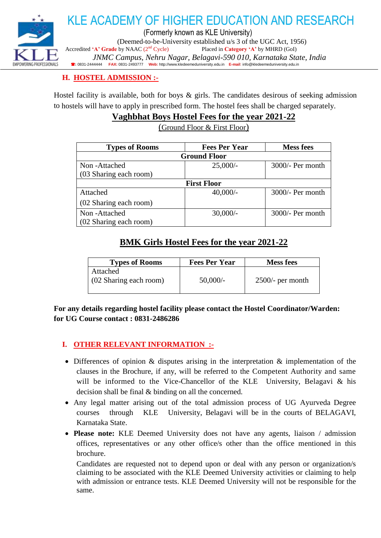

### **H. HOSTEL ADMISSION :-**

Hostel facility is available, both for boys  $\&$  girls. The candidates desirous of seeking admission to hostels will have to apply in prescribed form. The hostel fees shall be charged separately.

### **Vaghbhat Boys Hostel Fees for the year 2021-22**

(Ground Floor & First Floor)

| <b>Types of Rooms</b>  | <b>Fees Per Year</b> | <b>Mess fees</b>   |  |
|------------------------|----------------------|--------------------|--|
| <b>Ground Floor</b>    |                      |                    |  |
| Non-Attached           | $25,000/-$           | $3000/-$ Per month |  |
| (03 Sharing each room) |                      |                    |  |
| <b>First Floor</b>     |                      |                    |  |
| Attached               | $40,000/-$           | $3000/-$ Per month |  |
| (02 Sharing each room) |                      |                    |  |
| Non-Attached           | $30,000/-$           | $3000/-$ Per month |  |
| (02 Sharing each room) |                      |                    |  |

### **BMK Girls Hostel Fees for the year 2021-22**

| <b>Types of Rooms</b>              | <b>Fees Per Year</b> | <b>Mess fees</b>   |
|------------------------------------|----------------------|--------------------|
| Attached<br>(02 Sharing each room) | $50,000/-$           | $2500/-$ per month |

**For any details regarding hostel facility please contact the Hostel Coordinator/Warden: for UG Course contact : 0831-2486286**

### **I. OTHER RELEVANT INFORMATION :-**

- Differences of opinion & disputes arising in the interpretation & implementation of the clauses in the Brochure, if any, will be referred to the Competent Authority and same will be informed to the Vice-Chancellor of the KLE University, Belagavi & his decision shall be final & binding on all the concerned.
- Any legal matter arising out of the total admission process of UG Ayurveda Degree courses through KLE University, Belagavi will be in the courts of BELAGAVI, Karnataka State.
- **Please note:** KLE Deemed University does not have any agents, liaison / admission offices, representatives or any other office/s other than the office mentioned in this brochure.

Candidates are requested not to depend upon or deal with any person or organization/s claiming to be associated with the KLE Deemed University activities or claiming to help with admission or entrance tests. KLE Deemed University will not be responsible for the same.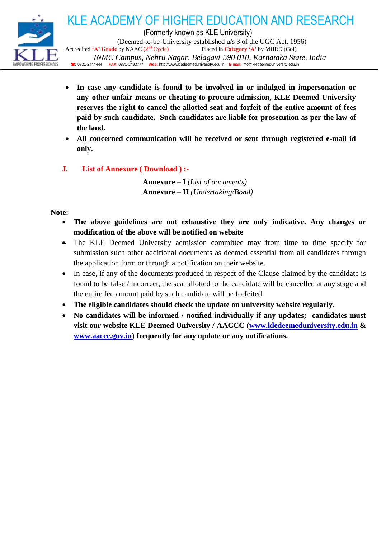

- **In case any candidate is found to be involved in or indulged in impersonation or any other unfair means or cheating to procure admission, KLE Deemed University reserves the right to cancel the allotted seat and forfeit of the entire amount of fees paid by such candidate. Such candidates are liable for prosecution as per the law of the land.**
- **All concerned communication will be received or sent through registered e-mail id only.**
- **J. List of Annexure ( Download ) :-**

**Annexure – I** *(List of documents)* **Annexure – II** *(Undertaking/Bond)*

### **Note:**

- **The above guidelines are not exhaustive they are only indicative. Any changes or modification of the above will be notified on website**
- The KLE Deemed University admission committee may from time to time specify for submission such other additional documents as deemed essential from all candidates through the application form or through a notification on their website.
- In case, if any of the documents produced in respect of the Clause claimed by the candidate is found to be false / incorrect, the seat allotted to the candidate will be cancelled at any stage and the entire fee amount paid by such candidate will be forfeited.
- **The eligible candidates should check the update on university website regularly.**
- **No candidates will be informed / notified individually if any updates; candidates must visit our website KLE Deemed University / AACCC [\(www.kledeemeduniversity.edu.in](http://www.kledeemeduniversity.edu.in/) & [www.aaccc.gov.in\)](http://www.aaccc.gov.in/) frequently for any update or any notifications.**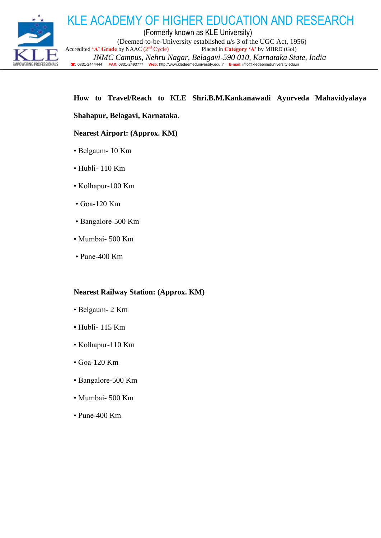

(Formerly known as KLE University) (Deemed-to-be-University established u/s 3 of the UGC Act, 1956) Accredited 'A' Grade by NAAC (2<sup>nd</sup> Cycle) Placed in Category 'A' by MHRD (GoI)  *JNMC Campus, Nehru Nagar, Belagavi-590 010, Karnataka State, India* **:** 0831-2444444 **FAX:** 0831-2493777 **Web:** http://www.kledeemeduniversity.edu.in **E-mail**: [info@kledeemeduniversity.edu.in](mailto:info@kledeemeduniversity.edu.in)

KLE ACADEMY OF HIGHER EDUCATION AND RESEARCH

### **How to Travel/Reach to KLE Shri.B.M.Kankanawadi Ayurveda Mahavidyalaya**

### **Shahapur, Belagavi, Karnataka.**

#### **Nearest Airport: (Approx. KM)**

- Belgaum- 10 Km
- Hubli- 110 Km
- Kolhapur-100 Km
- Goa-120 Km
- Bangalore-500 Km
- Mumbai- 500 Km
- Pune-400 Km

### **Nearest Railway Station: (Approx. KM)**

- Belgaum- 2 Km
- $\cdot$  Hubli- 115 Km
- Kolhapur-110 Km
- Goa-120 Km
- Bangalore-500 Km
- Mumbai- 500 Km
- Pune-400 Km